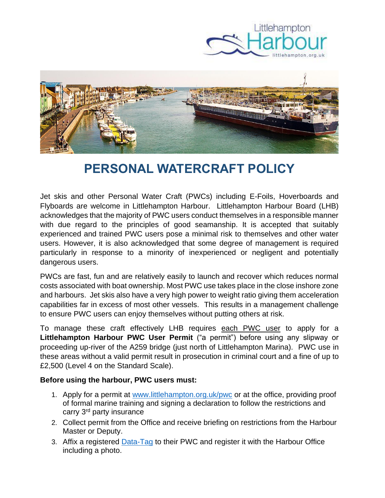



## **PERSONAL WATERCRAFT POLICY**

Jet skis and other Personal Water Craft (PWCs) including E-Foils, Hoverboards and Flyboards are welcome in Littlehampton Harbour. Littlehampton Harbour Board (LHB) acknowledges that the majority of PWC users conduct themselves in a responsible manner with due regard to the principles of good seamanship. It is accepted that suitably experienced and trained PWC users pose a minimal risk to themselves and other water users. However, it is also acknowledged that some degree of management is required particularly in response to a minority of inexperienced or negligent and potentially dangerous users.

PWCs are fast, fun and are relatively easily to launch and recover which reduces normal costs associated with boat ownership. Most PWC use takes place in the close inshore zone and harbours. Jet skis also have a very high power to weight ratio giving them acceleration capabilities far in excess of most other vessels. This results in a management challenge to ensure PWC users can enjoy themselves without putting others at risk.

To manage these craft effectively LHB requires each PWC user to apply for a **Littlehampton Harbour PWC User Permit** ("a permit") before using any slipway or proceeding up-river of the A259 bridge (just north of Littlehampton Marina). PWC use in these areas without a valid permit result in prosecution in criminal court and a fine of up to £2,500 (Level 4 on the Standard Scale).

## **Before using the harbour, PWC users must:**

- 1. Apply for a permit at [www.littlehampton.org.uk/pwc](http://www.littlehampton.org.uk/pwc) or at the office, providing proof of formal marine training and signing a declaration to follow the restrictions and carry 3rd party insurance
- 2. Collect permit from the Office and receive briefing on restrictions from the Harbour Master or Deputy.
- 3. Affix a registered [Data-Tag](https://www.datatag.co.uk/pwc.php) to their PWC and register it with the Harbour Office including a photo.